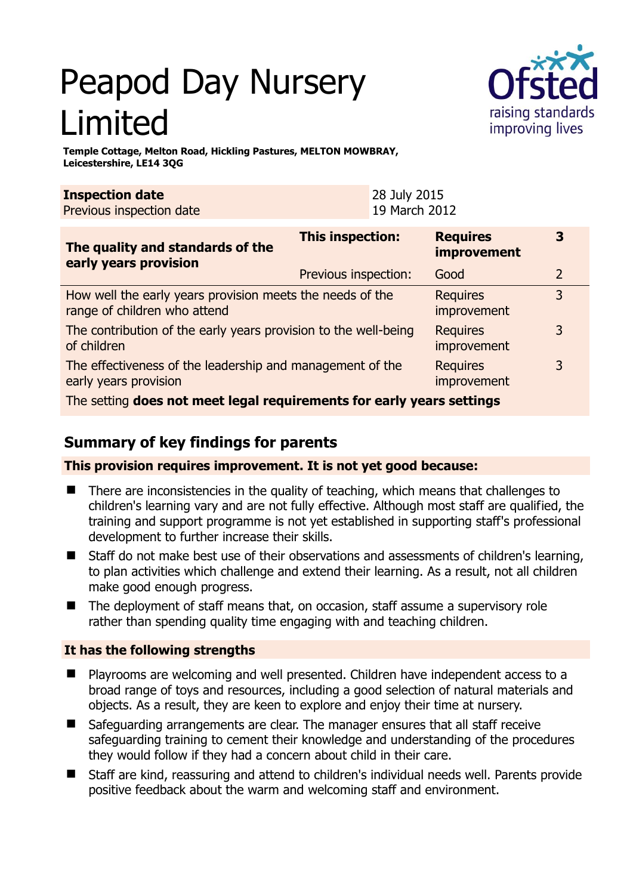# Peapod Day Nursery Limited



**3** 

**Temple Cottage, Melton Road, Hickling Pastures, MELTON MOWBRAY, Leicestershire, LE14 3QG** 

| The quality and standards of the                   | <b>This inspection:</b> | <b>Requires</b><br>improvement |
|----------------------------------------------------|-------------------------|--------------------------------|
| <b>Inspection date</b><br>Previous inspection date | 28 July 2015            | 19 March 2012                  |

| Previous inspection:                                            | Good                           |  |
|-----------------------------------------------------------------|--------------------------------|--|
| How well the early years provision meets the needs of the       | <b>Requires</b><br>improvement |  |
| The contribution of the early years provision to the well-being | <b>Requires</b><br>improvement |  |
| The effectiveness of the leadership and management of the       | <b>Requires</b><br>improvement |  |
|                                                                 |                                |  |

The setting **does not meet legal requirements for early years settings**

# **Summary of key findings for parents**

**This provision requires improvement. It is not yet good because:** 

- There are inconsistencies in the quality of teaching, which means that challenges to children's learning vary and are not fully effective. Although most staff are qualified, the training and support programme is not yet established in supporting staff's professional development to further increase their skills.
- Staff do not make best use of their observations and assessments of children's learning, to plan activities which challenge and extend their learning. As a result, not all children make good enough progress.
- The deployment of staff means that, on occasion, staff assume a supervisory role rather than spending quality time engaging with and teaching children.

## **It has the following strengths**

- Playrooms are welcoming and well presented. Children have independent access to a broad range of toys and resources, including a good selection of natural materials and objects. As a result, they are keen to explore and enjoy their time at nursery.
- Safeguarding arrangements are clear. The manager ensures that all staff receive safeguarding training to cement their knowledge and understanding of the procedures they would follow if they had a concern about child in their care.
- Staff are kind, reassuring and attend to children's individual needs well. Parents provide positive feedback about the warm and welcoming staff and environment.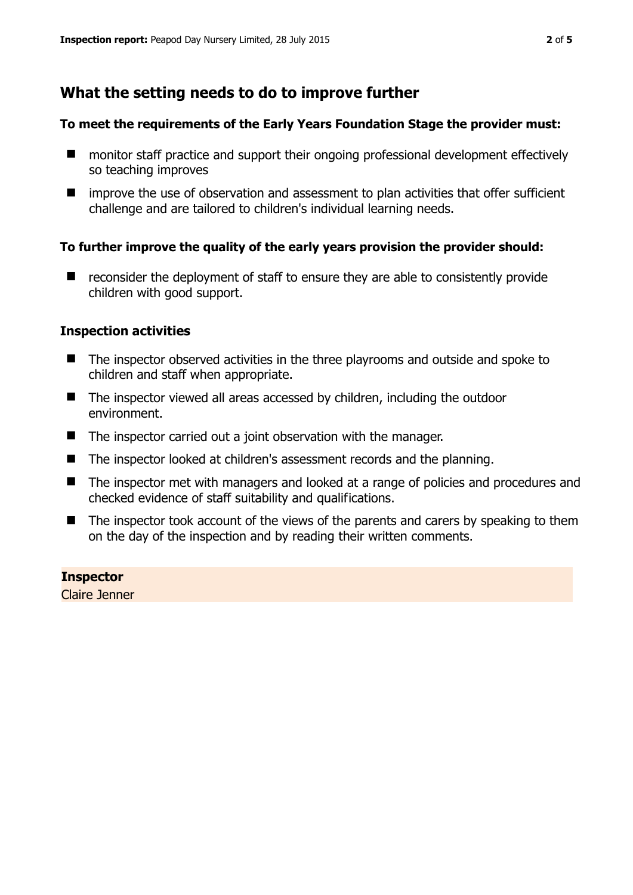# **What the setting needs to do to improve further**

#### **To meet the requirements of the Early Years Foundation Stage the provider must:**

- monitor staff practice and support their ongoing professional development effectively so teaching improves
- improve the use of observation and assessment to plan activities that offer sufficient challenge and are tailored to children's individual learning needs.

## **To further improve the quality of the early years provision the provider should:**

 $\blacksquare$  reconsider the deployment of staff to ensure they are able to consistently provide children with good support.

#### **Inspection activities**

- The inspector observed activities in the three playrooms and outside and spoke to children and staff when appropriate.
- The inspector viewed all areas accessed by children, including the outdoor environment.
- The inspector carried out a joint observation with the manager.
- The inspector looked at children's assessment records and the planning.
- The inspector met with managers and looked at a range of policies and procedures and checked evidence of staff suitability and qualifications.
- The inspector took account of the views of the parents and carers by speaking to them on the day of the inspection and by reading their written comments.

#### **Inspector**

Claire Jenner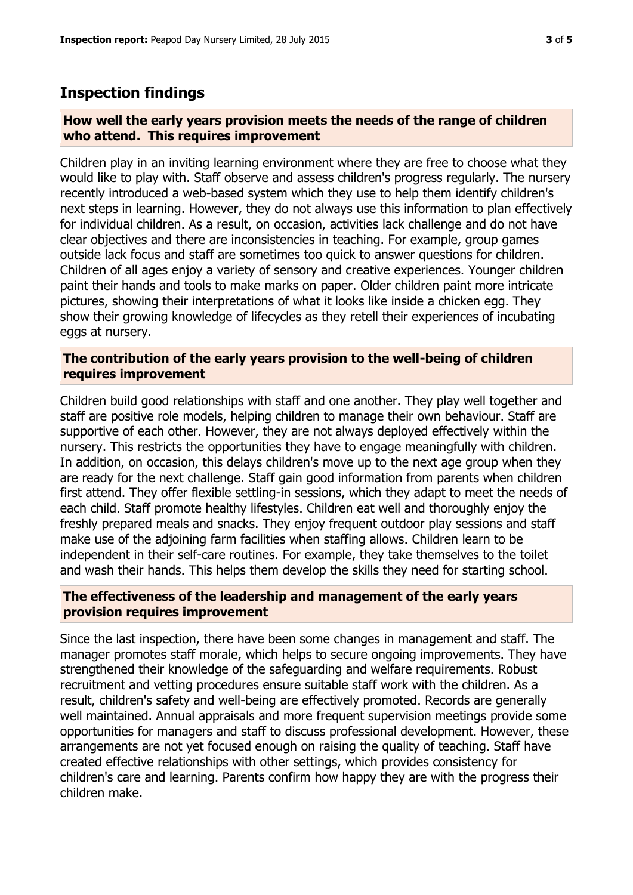# **Inspection findings**

#### **How well the early years provision meets the needs of the range of children who attend. This requires improvement**

Children play in an inviting learning environment where they are free to choose what they would like to play with. Staff observe and assess children's progress regularly. The nursery recently introduced a web-based system which they use to help them identify children's next steps in learning. However, they do not always use this information to plan effectively for individual children. As a result, on occasion, activities lack challenge and do not have clear objectives and there are inconsistencies in teaching. For example, group games outside lack focus and staff are sometimes too quick to answer questions for children. Children of all ages enjoy a variety of sensory and creative experiences. Younger children paint their hands and tools to make marks on paper. Older children paint more intricate pictures, showing their interpretations of what it looks like inside a chicken egg. They show their growing knowledge of lifecycles as they retell their experiences of incubating eggs at nursery.

## **The contribution of the early years provision to the well-being of children requires improvement**

Children build good relationships with staff and one another. They play well together and staff are positive role models, helping children to manage their own behaviour. Staff are supportive of each other. However, they are not always deployed effectively within the nursery. This restricts the opportunities they have to engage meaningfully with children. In addition, on occasion, this delays children's move up to the next age group when they are ready for the next challenge. Staff gain good information from parents when children first attend. They offer flexible settling-in sessions, which they adapt to meet the needs of each child. Staff promote healthy lifestyles. Children eat well and thoroughly enjoy the freshly prepared meals and snacks. They enjoy frequent outdoor play sessions and staff make use of the adjoining farm facilities when staffing allows. Children learn to be independent in their self-care routines. For example, they take themselves to the toilet and wash their hands. This helps them develop the skills they need for starting school.

#### **The effectiveness of the leadership and management of the early years provision requires improvement**

Since the last inspection, there have been some changes in management and staff. The manager promotes staff morale, which helps to secure ongoing improvements. They have strengthened their knowledge of the safeguarding and welfare requirements. Robust recruitment and vetting procedures ensure suitable staff work with the children. As a result, children's safety and well-being are effectively promoted. Records are generally well maintained. Annual appraisals and more frequent supervision meetings provide some opportunities for managers and staff to discuss professional development. However, these arrangements are not yet focused enough on raising the quality of teaching. Staff have created effective relationships with other settings, which provides consistency for children's care and learning. Parents confirm how happy they are with the progress their children make.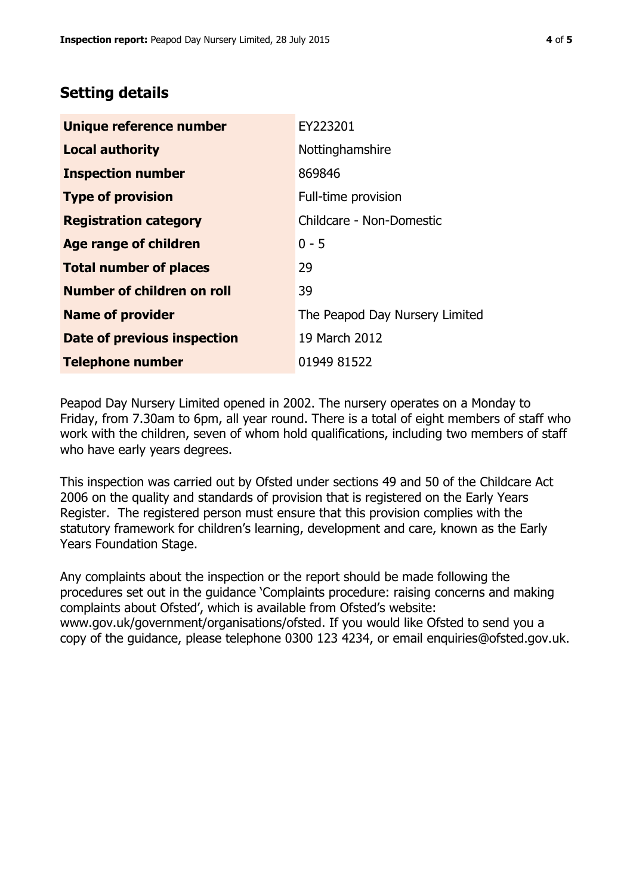# **Setting details**

| Unique reference number           | EY223201                       |
|-----------------------------------|--------------------------------|
| <b>Local authority</b>            | Nottinghamshire                |
| <b>Inspection number</b>          | 869846                         |
| <b>Type of provision</b>          | Full-time provision            |
| <b>Registration category</b>      | Childcare - Non-Domestic       |
| Age range of children             | $0 - 5$                        |
| <b>Total number of places</b>     | 29                             |
| <b>Number of children on roll</b> | 39                             |
| <b>Name of provider</b>           | The Peapod Day Nursery Limited |
| Date of previous inspection       | 19 March 2012                  |
| <b>Telephone number</b>           | 01949 81522                    |

Peapod Day Nursery Limited opened in 2002. The nursery operates on a Monday to Friday, from 7.30am to 6pm, all year round. There is a total of eight members of staff who work with the children, seven of whom hold qualifications, including two members of staff who have early years degrees.

This inspection was carried out by Ofsted under sections 49 and 50 of the Childcare Act 2006 on the quality and standards of provision that is registered on the Early Years Register. The registered person must ensure that this provision complies with the statutory framework for children's learning, development and care, known as the Early Years Foundation Stage.

Any complaints about the inspection or the report should be made following the procedures set out in the guidance 'Complaints procedure: raising concerns and making complaints about Ofsted', which is available from Ofsted's website: www.gov.uk/government/organisations/ofsted. If you would like Ofsted to send you a copy of the guidance, please telephone 0300 123 4234, or email enquiries@ofsted.gov.uk.